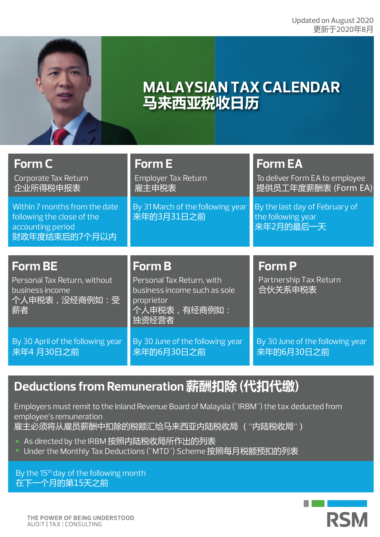

# **MALAYSIAN TAX CALENDAR 马来西亚税收日历**

| Form C<br>Corporate Tax Return<br>企业所得税申报表                                                        | <b>Form E</b><br><b>Employer Tax Return</b><br>雇主申税表                                             | <b>Form EA</b><br>To deliver Form EA to employee<br>提供员工年度薪酬表 (Form EA) |
|---------------------------------------------------------------------------------------------------|--------------------------------------------------------------------------------------------------|-------------------------------------------------------------------------|
| Within 7 months from the date<br>following the close of the<br>accounting period<br>财政年度结束后的7个月以内 | By 31 March of the following year<br>来年的3月31日之前                                                  | By the last day of February of<br>the following year<br>来年2月的最后一天       |
|                                                                                                   |                                                                                                  |                                                                         |
| <b>Form BE</b>                                                                                    | <b>Form B</b>                                                                                    | <b>Form P</b>                                                           |
| Personal Tax Return, without<br>business income<br>个人申税表, 没经商例如: 受<br>薪者                          | Personal Tax Return, with<br>business income such as sole<br>proprietor<br>个人申税表,有经商例如:<br>独资经营者 | Partnership Tax Return<br>合伙关系申税表                                       |

## **Deductions from Remuneration 薪酬扣除 (代扣代缴)**

Employers must remit to the Inland Revenue Board of Malaysia ("IRBM") the tax deducted from employee's remuneration 雇主必须将从雇员薪酬中扣除的税额汇给马来西亚内陆税收局 ("内陆税收局")

- As directed by the IRBM 按照内陆税收局所作出的列表
- Under the Monthly Tax Deductions ("MTD") Scheme 按照每月税额预扣的列表

By the 15<sup>th</sup> day of the following month 在下一个月的第15天之前

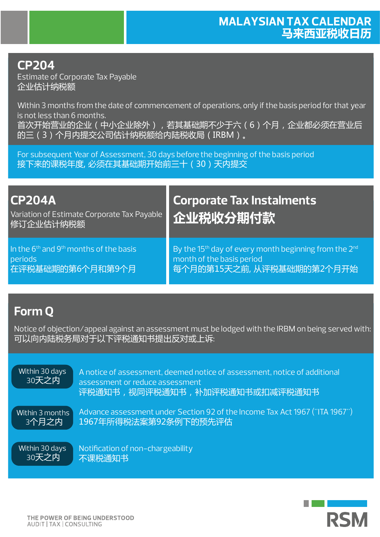## **CP204**

Estimate of Corporate Tax Payable 企业估计纳税额

Within 3 months from the date of commencement of operations, only if the basis period for that year is not less than 6 months. 首次开始营业的企业(中小企业除外),若其基础期不少于六(6)个月,企业都必须在营业后 的三(3)个月内提交公司估计纳税额给内陆税收局(IRBM)。

For subsequent Year of Assessment, 30 days before the beginning of the basis period 接下来的课税年度, 必须在其基础期开始前三十 (30)天内提交

| <b>CP204A</b><br>Variation of Estimate Corporate Tax Payable<br>修订企业估计纳税额 | <b>Corporate Tax Instalments</b><br>企业税收分期付款                                  |
|---------------------------------------------------------------------------|-------------------------------------------------------------------------------|
| In the 6 <sup>th</sup> and 9 <sup>th</sup> months of the basis            | By the 15 <sup>th</sup> day of every month beginning from the 2 <sup>nd</sup> |
| periods                                                                   | month of the basis period                                                     |
| 在评税基础期的第6个月和第9个月                                                          | 每个月的第15天之前,从评税基础期的第2个月开始                                                      |

## **Form Q**

Notice of objection/appeal against an assessment must be lodged with the IRBM on being served with: 可以向内陆税务局对于以下评税通知书提出反对或上诉:

A notice of assessment, deemed notice of assessment, notice of additional assessment or reduce assessment 评税通知书,视同评税通知书,补加评税通知书或扣减评税通知书 Advance assessment under Section 92 of the Income Tax Act 1967 ("ITA 1967") 1967年所得税法案第92条例下的预先评估 Notification of non-chargeability 不课税通知书 Within 30 days 30天之内 Within 3 months 3个月之内 Within 30 days 30天之内

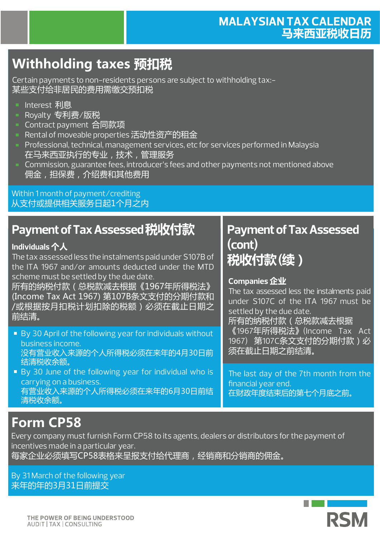### **MALAYSIAN TAX CALENDAR 马来西亚税收日历**

# **Withholding taxes 预扣税**

Certain payments to non-residents persons are subject to withholding tax:- 某些支付给非居民的费用需缴交预扣税

- Interest 利息
- Royalty 专利费/版税
- Contract payment 合同款项
- Rental of moveable properties 活动性资产的租金
- **Professional, technical, management services, etc for services performed in Malaysia** 在马来西亚执行的专业,技术,管理服务
- **Commission, guarantee fees, introducer's fees and other payments not mentioned above** 佣金,担保费,介绍费和其他费用

Within 1 month of payment/crediting 从支付或提供相关服务日起1个月之内

## **Payment of Tax Assessed 税收付款 Payment of Tax Assessed**

#### **Individuals 个人**

The tax assessed less the instalments paid under S107B of the ITA 1967 and/or amounts deducted under the MTD scheme must be settled by the due date.

所有的纳税付款(总税款减去根据《1967年所得税法》 (Income Tax Act 1967) 第107B条文支付的分期付款和 /或根据按月扣税计划扣除的税额)必须在截止日期之 前结清。

- By 30 April of the following year for individuals without business income. 没有营业收入来源的个人所得税必须在来年的4月30日前 结清税收余额。
- By 30 June of the following year for individual who is carrying on a business. 有营业收入来源的个人所得税必须在来年的6月30日前结 清税收余额。

# **(cont) 税收付款 (续)**

#### **Companies 企业**

The tax assessed less the instalments paid under S107C of the ITA 1967 must be settled by the due date. 所有的纳税付款(总税款减去根据

《1967年所得税法》(Income Tax Act 1967) 第107C条文支付的分期付款) 必 须在截止日期之前结清。

The last day of the 7th month from the financial year end. 在财政年度结束后的第七个月底之前。

# **Form CP58**

Every company must furnish Form CP58 to its agents, dealers or distributors for the payment of incentives made in a particular year.

每家企业必须填写CP58表格来呈报支付给代理商,经销商和分销商的佣金。

By 31 March of the following year 来年的年的3月31日前提交